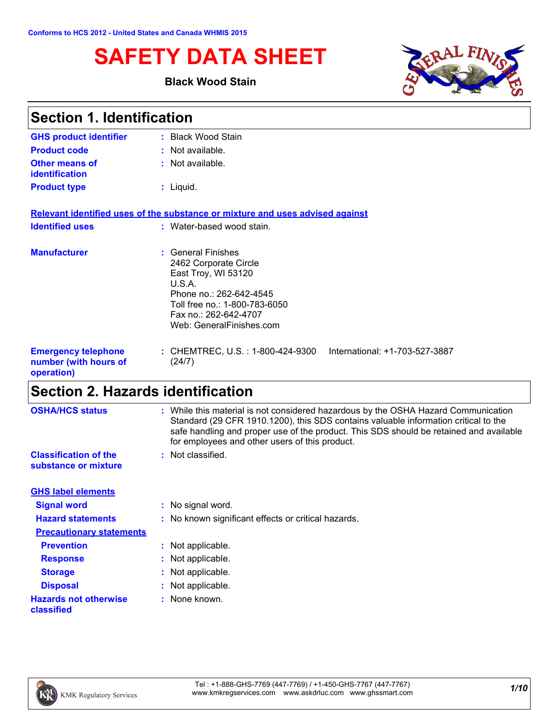# **SAFETY DATA SHEET**

### **Black Wood Stain**



| <b>Section 1. Identification</b>                                  |                                                                                                                                                                                              |  |  |
|-------------------------------------------------------------------|----------------------------------------------------------------------------------------------------------------------------------------------------------------------------------------------|--|--|
| <b>GHS product identifier</b>                                     | : Black Wood Stain                                                                                                                                                                           |  |  |
| <b>Product code</b>                                               | : Not available.                                                                                                                                                                             |  |  |
| Other means of<br>identification                                  | : Not available.                                                                                                                                                                             |  |  |
| <b>Product type</b>                                               | $:$ Liquid.                                                                                                                                                                                  |  |  |
|                                                                   | Relevant identified uses of the substance or mixture and uses advised against                                                                                                                |  |  |
| <b>Identified uses</b>                                            | : Water-based wood stain.                                                                                                                                                                    |  |  |
| <b>Manufacturer</b>                                               | : General Finishes<br>2462 Corporate Circle<br>East Troy, WI 53120<br>U.S.A.<br>Phone no.: 262-642-4545<br>Toll free no.: 1-800-783-6050<br>Fax no: 262-642-4707<br>Web: GeneralFinishes.com |  |  |
| <b>Emergency telephone</b><br>number (with hours of<br>operation) | International: +1-703-527-3887<br>: CHEMTREC, U.S. : 1-800-424-9300<br>(24/7)                                                                                                                |  |  |

# **Section 2. Hazards identification**

| <b>OSHA/HCS status</b>                               | : While this material is not considered hazardous by the OSHA Hazard Communication<br>Standard (29 CFR 1910.1200), this SDS contains valuable information critical to the<br>safe handling and proper use of the product. This SDS should be retained and available<br>for employees and other users of this product. |
|------------------------------------------------------|-----------------------------------------------------------------------------------------------------------------------------------------------------------------------------------------------------------------------------------------------------------------------------------------------------------------------|
| <b>Classification of the</b><br>substance or mixture | : Not classified.                                                                                                                                                                                                                                                                                                     |
| <b>GHS label elements</b>                            |                                                                                                                                                                                                                                                                                                                       |
| <b>Signal word</b>                                   | : No signal word.                                                                                                                                                                                                                                                                                                     |
| <b>Hazard statements</b>                             | : No known significant effects or critical hazards.                                                                                                                                                                                                                                                                   |
| <b>Precautionary statements</b>                      |                                                                                                                                                                                                                                                                                                                       |
| <b>Prevention</b>                                    | : Not applicable.                                                                                                                                                                                                                                                                                                     |
| <b>Response</b>                                      | : Not applicable.                                                                                                                                                                                                                                                                                                     |
| <b>Storage</b>                                       | : Not applicable.                                                                                                                                                                                                                                                                                                     |
| <b>Disposal</b>                                      | : Not applicable.                                                                                                                                                                                                                                                                                                     |
| <b>Hazards not otherwise</b><br>classified           | : None known.                                                                                                                                                                                                                                                                                                         |

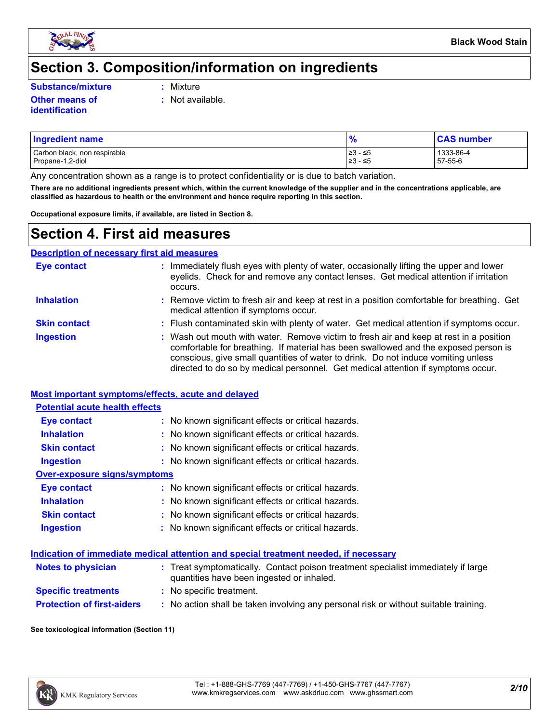

# **Section 3. Composition/information on ingredients**

**Substance/mixture :**

**Other means of identification**

- Mixture
- **:** Not available.

### Carbon black, non respirable  $\begin{array}{|l|l|}\n\hline\n\text{23 - 5} & & 1333-86-4 \\
\hline\n\text{1333-86 - 4} & & 23 & -5 \\
\hline\n\end{array}$  1333-86-4 Propane-1,2-diol **Ingredient name % CAS number**

Any concentration shown as a range is to protect confidentiality or is due to batch variation.

**There are no additional ingredients present which, within the current knowledge of the supplier and in the concentrations applicable, are classified as hazardous to health or the environment and hence require reporting in this section.**

**Occupational exposure limits, if available, are listed in Section 8.**

# **Section 4. First aid measures**

| <b>Description of necessary first aid measures</b> |                                                                                                                                                                                                                                                                                                                                                        |
|----------------------------------------------------|--------------------------------------------------------------------------------------------------------------------------------------------------------------------------------------------------------------------------------------------------------------------------------------------------------------------------------------------------------|
| <b>Eye contact</b>                                 | Immediately flush eyes with plenty of water, occasionally lifting the upper and lower<br>eyelids. Check for and remove any contact lenses. Get medical attention if irritation<br>occurs.                                                                                                                                                              |
| <b>Inhalation</b>                                  | : Remove victim to fresh air and keep at rest in a position comfortable for breathing. Get<br>medical attention if symptoms occur.                                                                                                                                                                                                                     |
| <b>Skin contact</b>                                | : Flush contaminated skin with plenty of water. Get medical attention if symptoms occur.                                                                                                                                                                                                                                                               |
| <b>Ingestion</b>                                   | : Wash out mouth with water. Remove victim to fresh air and keep at rest in a position<br>comfortable for breathing. If material has been swallowed and the exposed person is<br>conscious, give small quantities of water to drink. Do not induce vomiting unless<br>directed to do so by medical personnel. Get medical attention if symptoms occur. |

### **Most important symptoms/effects, acute and delayed**

### **Potential acute health effects**

| <b>Eye contact</b>           | : No known significant effects or critical hazards. |
|------------------------------|-----------------------------------------------------|
| <b>Inhalation</b>            | : No known significant effects or critical hazards. |
| <b>Skin contact</b>          | : No known significant effects or critical hazards. |
| <b>Ingestion</b>             | : No known significant effects or critical hazards. |
| Over-exposure signs/symptoms |                                                     |
| <b>Eye contact</b>           | : No known significant effects or critical hazards. |
| <b>Inhalation</b>            | : No known significant effects or critical hazards. |
| <b>Skin contact</b>          | : No known significant effects or critical hazards. |

| <b>Ingestion</b> | : No known significant effects or critical hazards. |
|------------------|-----------------------------------------------------|
|------------------|-----------------------------------------------------|

### **Indication of immediate medical attention and special treatment needed, if necessary**

| <b>Notes to physician</b>         | : Treat symptomatically. Contact poison treatment specialist immediately if large<br>quantities have been ingested or inhaled. |
|-----------------------------------|--------------------------------------------------------------------------------------------------------------------------------|
| <b>Specific treatments</b>        | : No specific treatment.                                                                                                       |
| <b>Protection of first-aiders</b> | : No action shall be taken involving any personal risk or without suitable training.                                           |

**See toxicological information (Section 11)**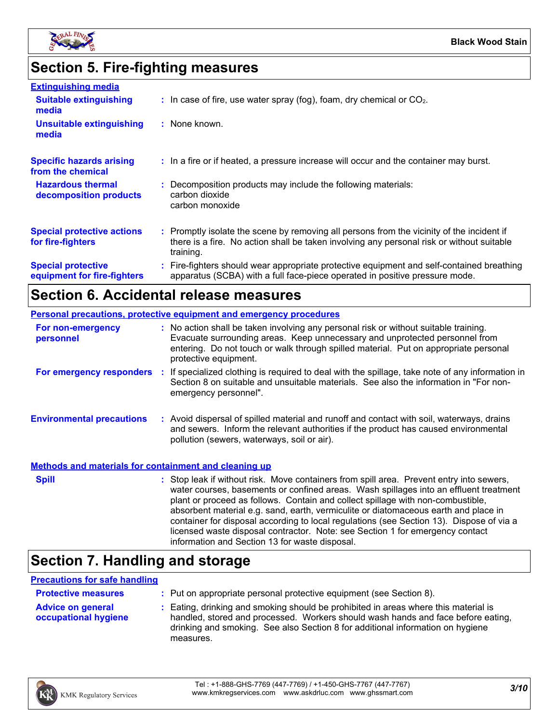

# **Section 5. Fire-fighting measures**

| <b>Extinguishing media</b>                               |                                                                                                                                                                                                     |
|----------------------------------------------------------|-----------------------------------------------------------------------------------------------------------------------------------------------------------------------------------------------------|
| <b>Suitable extinguishing</b><br>media                   | $\therefore$ In case of fire, use water spray (fog), foam, dry chemical or CO <sub>2</sub> .                                                                                                        |
| <b>Unsuitable extinguishing</b><br>media                 | : None known.                                                                                                                                                                                       |
| <b>Specific hazards arising</b><br>from the chemical     | : In a fire or if heated, a pressure increase will occur and the container may burst.                                                                                                               |
| <b>Hazardous thermal</b><br>decomposition products       | : Decomposition products may include the following materials:<br>carbon dioxide<br>carbon monoxide                                                                                                  |
| <b>Special protective actions</b><br>for fire-fighters   | : Promptly isolate the scene by removing all persons from the vicinity of the incident if<br>there is a fire. No action shall be taken involving any personal risk or without suitable<br>training. |
| <b>Special protective</b><br>equipment for fire-fighters | : Fire-fighters should wear appropriate protective equipment and self-contained breathing<br>apparatus (SCBA) with a full face-piece operated in positive pressure mode.                            |

# **Section 6. Accidental release measures**

|                                                              | <b>Personal precautions, protective equipment and emergency procedures</b>                                                                                                                                                                                                                                                                                                                                                                                                                                                                                                                 |
|--------------------------------------------------------------|--------------------------------------------------------------------------------------------------------------------------------------------------------------------------------------------------------------------------------------------------------------------------------------------------------------------------------------------------------------------------------------------------------------------------------------------------------------------------------------------------------------------------------------------------------------------------------------------|
| For non-emergency<br>personnel                               | : No action shall be taken involving any personal risk or without suitable training.<br>Evacuate surrounding areas. Keep unnecessary and unprotected personnel from<br>entering. Do not touch or walk through spilled material. Put on appropriate personal<br>protective equipment.                                                                                                                                                                                                                                                                                                       |
|                                                              | For emergency responders : If specialized clothing is required to deal with the spillage, take note of any information in<br>Section 8 on suitable and unsuitable materials. See also the information in "For non-<br>emergency personnel".                                                                                                                                                                                                                                                                                                                                                |
| <b>Environmental precautions</b>                             | : Avoid dispersal of spilled material and runoff and contact with soil, waterways, drains<br>and sewers. Inform the relevant authorities if the product has caused environmental<br>pollution (sewers, waterways, soil or air).                                                                                                                                                                                                                                                                                                                                                            |
| <b>Methods and materials for containment and cleaning up</b> |                                                                                                                                                                                                                                                                                                                                                                                                                                                                                                                                                                                            |
| <b>Spill</b>                                                 | : Stop leak if without risk. Move containers from spill area. Prevent entry into sewers,<br>water courses, basements or confined areas. Wash spillages into an effluent treatment<br>plant or proceed as follows. Contain and collect spillage with non-combustible,<br>absorbent material e.g. sand, earth, vermiculite or diatomaceous earth and place in<br>container for disposal according to local regulations (see Section 13). Dispose of via a<br>licensed waste disposal contractor. Note: see Section 1 for emergency contact<br>information and Section 13 for waste disposal. |

# **Section 7. Handling and storage**

### **Precautions for safe handling**

| <b>Protective measures</b>                       | : Put on appropriate personal protective equipment (see Section 8).                                                                                                                                                                                                    |
|--------------------------------------------------|------------------------------------------------------------------------------------------------------------------------------------------------------------------------------------------------------------------------------------------------------------------------|
| <b>Advice on general</b><br>occupational hygiene | : Eating, drinking and smoking should be prohibited in areas where this material is<br>handled, stored and processed. Workers should wash hands and face before eating,<br>drinking and smoking. See also Section 8 for additional information on hygiene<br>measures. |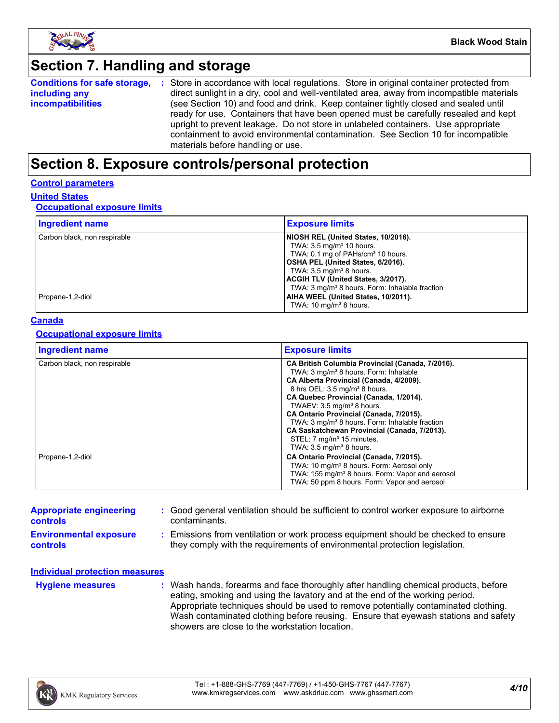

## **Section 7. Handling and storage**

**Conditions for safe storage, including any incompatibilities** Store in accordance with local regulations. Store in original container protected from **:** direct sunlight in a dry, cool and well-ventilated area, away from incompatible materials (see Section 10) and food and drink. Keep container tightly closed and sealed until ready for use. Containers that have been opened must be carefully resealed and kept upright to prevent leakage. Do not store in unlabeled containers. Use appropriate containment to avoid environmental contamination. See Section 10 for incompatible materials before handling or use.

## **Section 8. Exposure controls/personal protection**

### **Control parameters**

### **United States**

### **Occupational exposure limits**

| <b>Ingredient name</b>       | <b>Exposure limits</b>                                     |
|------------------------------|------------------------------------------------------------|
| Carbon black, non respirable | NIOSH REL (United States, 10/2016).                        |
|                              | TWA: $3.5 \text{ mg/m}^3$ 10 hours.                        |
|                              | TWA: 0.1 mg of PAHs/cm <sup>3</sup> 10 hours.              |
|                              | OSHA PEL (United States, 6/2016).                          |
|                              | TWA: $3.5 \text{ mg/m}^3$ 8 hours.                         |
|                              | ACGIH TLV (United States, 3/2017).                         |
|                              | TWA: 3 mg/m <sup>3</sup> 8 hours. Form: Inhalable fraction |
| Propane-1,2-diol             | AIHA WEEL (United States, 10/2011).                        |
|                              | TWA: $10 \text{ mg/m}^3$ 8 hours.                          |

### **Canada**

### **Occupational exposure limits**

| <b>Ingredient name</b>       | <b>Exposure limits</b>                                                                                                                                                                                                                                                                                                                   |
|------------------------------|------------------------------------------------------------------------------------------------------------------------------------------------------------------------------------------------------------------------------------------------------------------------------------------------------------------------------------------|
| Carbon black, non respirable | CA British Columbia Provincial (Canada, 7/2016).<br>TWA: 3 mg/m <sup>3</sup> 8 hours. Form: Inhalable<br>CA Alberta Provincial (Canada, 4/2009).<br>8 hrs OEL: 3.5 mg/m <sup>3</sup> 8 hours.<br>CA Quebec Provincial (Canada, 1/2014).<br>TWAEV: $3.5 \text{ mg/m}^3$ 8 hours.                                                          |
| Propane-1,2-diol             | CA Ontario Provincial (Canada, 7/2015).<br>TWA: 3 mg/m <sup>3</sup> 8 hours. Form: Inhalable fraction<br>CA Saskatchewan Provincial (Canada, 7/2013).<br>STEL: 7 mg/m <sup>3</sup> 15 minutes.<br>TWA: $3.5 \text{ mg/m}^3$ 8 hours.<br>CA Ontario Provincial (Canada, 7/2015).<br>TWA: 10 mg/m <sup>3</sup> 8 hours. Form: Aerosol only |
|                              | TWA: 155 mg/m <sup>3</sup> 8 hours. Form: Vapor and aerosol<br>TWA: 50 ppm 8 hours. Form: Vapor and aerosol                                                                                                                                                                                                                              |

| <b>Appropriate engineering</b><br><b>controls</b> | : Good general ventilation should be sufficient to control worker exposure to airborne<br>contaminants.                                                          |
|---------------------------------------------------|------------------------------------------------------------------------------------------------------------------------------------------------------------------|
| <b>Environmental exposure</b><br><b>controls</b>  | : Emissions from ventilation or work process equipment should be checked to ensure<br>they comply with the requirements of environmental protection legislation. |
| Individual protection measures                    |                                                                                                                                                                  |

**Hygiene measures :**

Wash hands, forearms and face thoroughly after handling chemical products, before eating, smoking and using the lavatory and at the end of the working period. Appropriate techniques should be used to remove potentially contaminated clothing. Wash contaminated clothing before reusing. Ensure that eyewash stations and safety showers are close to the workstation location.

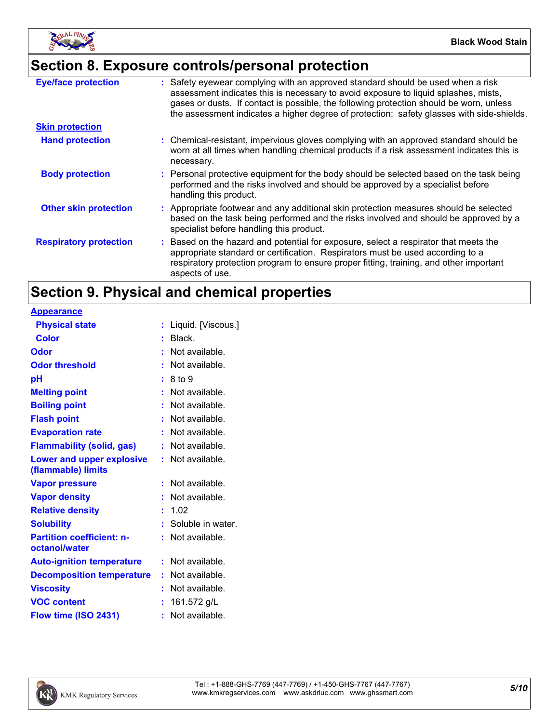

# **Section 8. Exposure controls/personal protection**

| <b>Eye/face protection</b>    | : Safety eyewear complying with an approved standard should be used when a risk<br>assessment indicates this is necessary to avoid exposure to liquid splashes, mists,<br>gases or dusts. If contact is possible, the following protection should be worn, unless<br>the assessment indicates a higher degree of protection: safety glasses with side-shields. |
|-------------------------------|----------------------------------------------------------------------------------------------------------------------------------------------------------------------------------------------------------------------------------------------------------------------------------------------------------------------------------------------------------------|
| <b>Skin protection</b>        |                                                                                                                                                                                                                                                                                                                                                                |
| <b>Hand protection</b>        | : Chemical-resistant, impervious gloves complying with an approved standard should be<br>worn at all times when handling chemical products if a risk assessment indicates this is<br>necessary.                                                                                                                                                                |
| <b>Body protection</b>        | : Personal protective equipment for the body should be selected based on the task being<br>performed and the risks involved and should be approved by a specialist before<br>handling this product.                                                                                                                                                            |
| <b>Other skin protection</b>  | : Appropriate footwear and any additional skin protection measures should be selected<br>based on the task being performed and the risks involved and should be approved by a<br>specialist before handling this product.                                                                                                                                      |
| <b>Respiratory protection</b> | : Based on the hazard and potential for exposure, select a respirator that meets the<br>appropriate standard or certification. Respirators must be used according to a<br>respiratory protection program to ensure proper fitting, training, and other important<br>aspects of use.                                                                            |

# **Section 9. Physical and chemical properties**

| <b>Appearance</b>                                      |                      |
|--------------------------------------------------------|----------------------|
| <b>Physical state</b>                                  | : Liquid. [Viscous.] |
| <b>Color</b>                                           | $:$ Black.           |
| Odor                                                   | : Not available.     |
| <b>Odor threshold</b>                                  | Not available.       |
| pH                                                     | : 8 to 9             |
| <b>Melting point</b>                                   | $:$ Not available.   |
| <b>Boiling point</b>                                   | Not available.       |
| <b>Flash point</b>                                     | Not available.       |
| <b>Evaporation rate</b>                                | : Not available.     |
| <b>Flammability (solid, gas)</b>                       | : Not available.     |
| <b>Lower and upper explosive</b><br>(flammable) limits | : Not available.     |
| <b>Vapor pressure</b>                                  | Not available.       |
| <b>Vapor density</b>                                   | Not available.       |
| <b>Relative density</b>                                | : 1.02               |
| <b>Solubility</b>                                      | : Soluble in water.  |
| <b>Partition coefficient: n-</b><br>octanol/water      | : Not available.     |
| <b>Auto-ignition temperature</b>                       | $:$ Not available.   |
| <b>Decomposition temperature</b>                       | $:$ Not available.   |
| <b>Viscosity</b>                                       | Not available.       |
| <b>VOC content</b>                                     | 161.572 g/L          |
| Flow time (ISO 2431)                                   | : Not available.     |
|                                                        |                      |

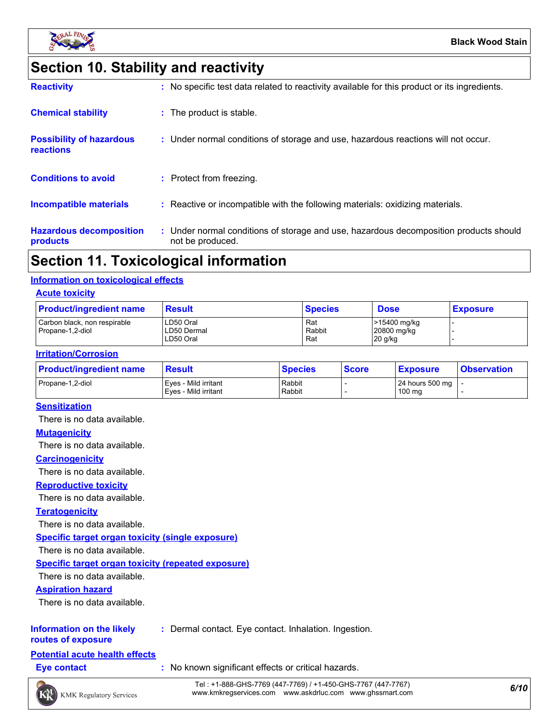

# **Section 10. Stability and reactivity**

| <b>Hazardous decomposition</b><br>products   | : Under normal conditions of storage and use, hazardous decomposition products should<br>not be produced. |
|----------------------------------------------|-----------------------------------------------------------------------------------------------------------|
| Incompatible materials                       | : Reactive or incompatible with the following materials: oxidizing materials.                             |
| <b>Conditions to avoid</b>                   | : Protect from freezing.                                                                                  |
| <b>Possibility of hazardous</b><br>reactions | : Under normal conditions of storage and use, hazardous reactions will not occur.                         |
| <b>Chemical stability</b>                    | : The product is stable.                                                                                  |
| <b>Reactivity</b>                            | : No specific test data related to reactivity available for this product or its ingredients.              |

## **Section 11. Toxicological information**

### **Information on toxicological effects**

### **Acute toxicity**

| <b>Product/ingredient name</b>                   | <b>Result</b>                         | <b>Species</b>       | <b>Dose</b>                              | <b>Exposure</b> |
|--------------------------------------------------|---------------------------------------|----------------------|------------------------------------------|-----------------|
| Carbon black, non respirable<br>Propane-1,2-diol | LD50 Oral<br>LD50 Dermal<br>LD50 Oral | Rat<br>Rabbit<br>Rat | >15400 mg/kg<br>20800 mg/kg<br>$20$ g/kg |                 |

### **Irritation/Corrosion**

| <b>Product/ingredient name</b> | <b>Result</b>                                | <b>Species</b>   | <b>Score</b> | <b>Exposure</b>                         | <b>Observation</b> |
|--------------------------------|----------------------------------------------|------------------|--------------|-----------------------------------------|--------------------|
| Propane-1.2-diol               | Eyes - Mild irritant<br>Eves - Mild irritant | Rabbit<br>Rabbit |              | 24 hours 500 mg   -<br>$100 \text{ mg}$ |                    |

### **Sensitization**

There is no data available.

### **Mutagenicity**

There is no data available.

### **Carcinogenicity**

There is no data available.

### **Reproductive toxicity**

There is no data available.

### **Teratogenicity**

There is no data available.

**Specific target organ toxicity (single exposure)**

There is no data available.

### **Specific target organ toxicity (repeated exposure)**

There is no data available.

### **Aspiration hazard**

There is no data available.

### **Information on the likely :** Dermal contact. Eye contact. Inhalation. Ingestion.

**routes of exposure**

### **Potential acute health effects**

**Eye contact :** No known significant effects or critical hazards.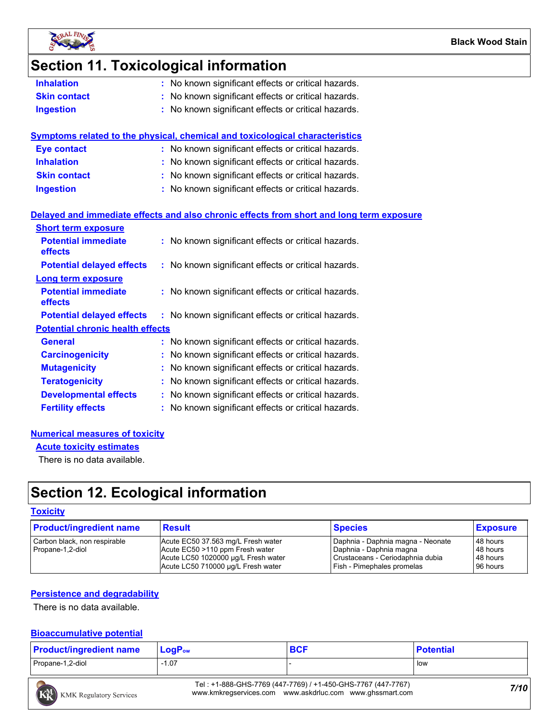

# **Section 11. Toxicological information**

- **Skin contact :** No known significant effects or critical hazards.
- **Ingestion :** No known significant effects or critical hazards.

|                     | <b>Symptoms related to the physical, chemical and toxicological characteristics</b> |
|---------------------|-------------------------------------------------------------------------------------|
| <b>Eye contact</b>  | : No known significant effects or critical hazards.                                 |
| <b>Inhalation</b>   | : No known significant effects or critical hazards.                                 |
| <b>Skin contact</b> | : No known significant effects or critical hazards.                                 |
| <b>Ingestion</b>    | : No known significant effects or critical hazards.                                 |
|                     |                                                                                     |

### **Delayed and immediate effects and also chronic effects from short and long term exposure**

| <b>Short term exposure</b>                   |                                                     |
|----------------------------------------------|-----------------------------------------------------|
| <b>Potential immediate</b><br><b>effects</b> | : No known significant effects or critical hazards. |
| <b>Potential delayed effects</b>             | : No known significant effects or critical hazards. |
| <b>Long term exposure</b>                    |                                                     |
| <b>Potential immediate</b><br><b>effects</b> | : No known significant effects or critical hazards. |
| <b>Potential delayed effects</b>             | : No known significant effects or critical hazards. |
| <b>Potential chronic health effects</b>      |                                                     |
| <b>General</b>                               | : No known significant effects or critical hazards. |
| <b>Carcinogenicity</b>                       | : No known significant effects or critical hazards. |
| <b>Mutagenicity</b>                          | : No known significant effects or critical hazards. |
| <b>Teratogenicity</b>                        | : No known significant effects or critical hazards. |
| <b>Developmental effects</b>                 | : No known significant effects or critical hazards. |
| <b>Fertility effects</b>                     | : No known significant effects or critical hazards. |

### **Numerical measures of toxicity**

**Acute toxicity estimates**

There is no data available.

# **Section 12. Ecological information**

### **Toxicity**

| <b>Product/ingredient name</b>                   | <b>Result</b>                                                                                                                                      | <b>Species</b>                                                                                                                 | <b>Exposure</b>                              |
|--------------------------------------------------|----------------------------------------------------------------------------------------------------------------------------------------------------|--------------------------------------------------------------------------------------------------------------------------------|----------------------------------------------|
| Carbon black, non respirable<br>Propane-1,2-diol | Acute EC50 37.563 mg/L Fresh water<br>Acute EC50 >110 ppm Fresh water<br>Acute LC50 1020000 µg/L Fresh water<br>Acute LC50 710000 ug/L Fresh water | Daphnia - Daphnia magna - Neonate<br>Daphnia - Daphnia magna<br>Crustaceans - Ceriodaphnia dubia<br>Fish - Pimephales promelas | 48 hours<br>48 hours<br>48 hours<br>96 hours |

### **Persistence and degradability**

There is no data available.

### **Bioaccumulative potential**

| <b>Product/ingredient name</b> | $\mathsf{LogP}_\mathsf{ow}$ | <b>BCF</b> | <b>Potential</b> |
|--------------------------------|-----------------------------|------------|------------------|
| Propane-1,2-diol               | $-1.07$                     |            | low              |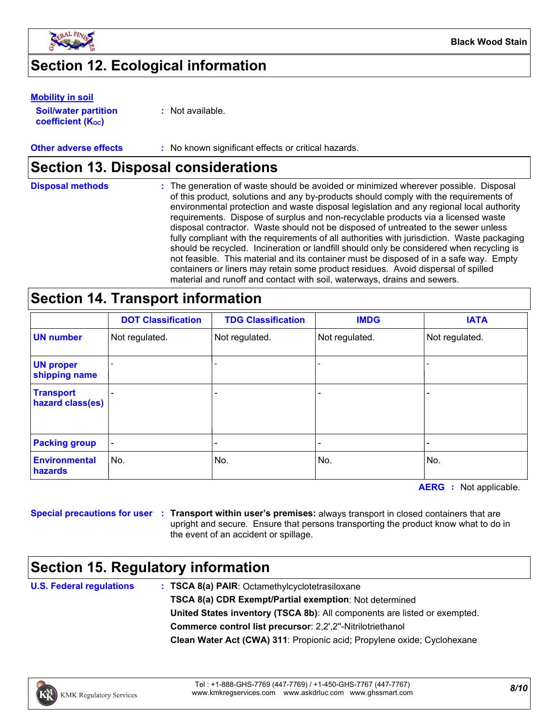

# **Section 12. Ecological information**

### **Mobility in soil**

**Soil/water partition coefficient (KOC)**

**:** Not available.

### **Other adverse effects** : No known significant effects or critical hazards.

## **Section 13. Disposal considerations**

| <b>Disposal methods</b> | : The generation of waste should be avoided or minimized wherever possible. Disposal<br>of this product, solutions and any by-products should comply with the requirements of<br>environmental protection and waste disposal legislation and any regional local authority<br>requirements. Dispose of surplus and non-recyclable products via a licensed waste<br>disposal contractor. Waste should not be disposed of untreated to the sewer unless<br>fully compliant with the requirements of all authorities with jurisdiction. Waste packaging<br>should be recycled. Incineration or landfill should only be considered when recycling is<br>not feasible. This material and its container must be disposed of in a safe way. Empty<br>containers or liners may retain some product residues. Avoid dispersal of spilled |
|-------------------------|--------------------------------------------------------------------------------------------------------------------------------------------------------------------------------------------------------------------------------------------------------------------------------------------------------------------------------------------------------------------------------------------------------------------------------------------------------------------------------------------------------------------------------------------------------------------------------------------------------------------------------------------------------------------------------------------------------------------------------------------------------------------------------------------------------------------------------|
|                         | material and runoff and contact with soil, waterways, drains and sewers.                                                                                                                                                                                                                                                                                                                                                                                                                                                                                                                                                                                                                                                                                                                                                       |

# **Section 14. Transport information**

|                                      | <b>DOT Classification</b> | <b>TDG Classification</b> | <b>IMDG</b>    | <b>IATA</b>    |
|--------------------------------------|---------------------------|---------------------------|----------------|----------------|
| <b>UN number</b>                     | Not regulated.            | Not regulated.            | Not regulated. | Not regulated. |
| <b>UN proper</b><br>shipping name    |                           |                           |                |                |
| <b>Transport</b><br>hazard class(es) |                           | -                         |                |                |
| <b>Packing group</b>                 | $\overline{\phantom{a}}$  |                           |                |                |
| <b>Environmental</b><br>hazards      | No.                       | No.                       | No.            | No.            |

**AERG :** Not applicable.

**Special precautions for user Transport within user's premises:** always transport in closed containers that are **:** upright and secure. Ensure that persons transporting the product know what to do in the event of an accident or spillage.

## **Section 15. Regulatory information**

**U.S. Federal regulations**

**Clean Water Act (CWA) 311**: Propionic acid; Propylene oxide; Cyclohexane **: TSCA 8(a) PAIR**: Octamethylcyclotetrasiloxane **TSCA 8(a) CDR Exempt/Partial exemption**: Not determined **Commerce control list precursor**: 2,2',2''-Nitrilotriethanol **United States inventory (TSCA 8b)**: All components are listed or exempted.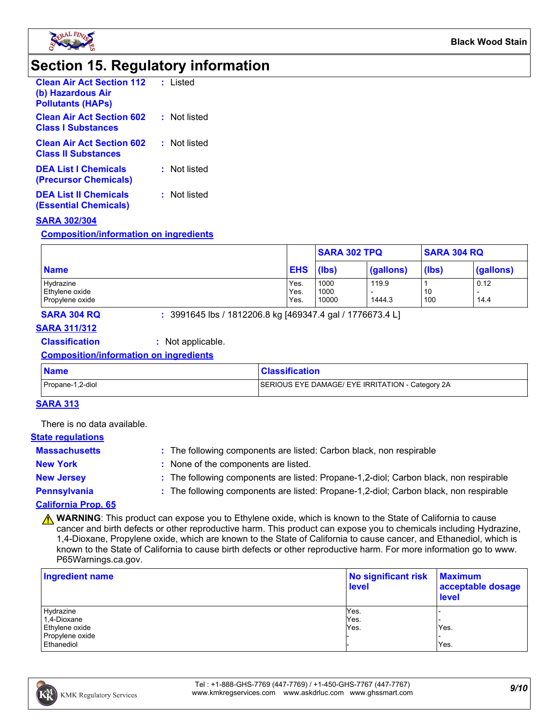

## **Section 15. Regulatory information**

| <b>Clean Air Act Section 112</b><br>(b) Hazardous Air<br><b>Pollutants (HAPS)</b> | : Listed     |
|-----------------------------------------------------------------------------------|--------------|
| <b>Clean Air Act Section 602</b><br><b>Class   Substances</b>                     | : Not listed |
| <b>Clean Air Act Section 602</b><br><b>Class II Substances</b>                    | : Not listed |
| <b>DEA List   Chemicals</b><br>(Precursor Chemicals)                              | : Not listed |
| <b>DEA List II Chemicals</b><br>(Essential Chemicals)                             | : Not listed |

### **SARA 302/304**

**Composition/information on ingredients**

|                 |            | <b>SARA 302 TPQ</b> |           | <b>SARA 304 RQ</b> |                          |
|-----------------|------------|---------------------|-----------|--------------------|--------------------------|
| <b>Name</b>     | <b>EHS</b> | (lbs)               | (gallons) | (lbs)              | (gallons)                |
| Hydrazine       | Yes.       | 1000                | 119.9     |                    | 0.12                     |
| Ethylene oxide  | Yes.       | 1000                |           | 10                 | $\overline{\phantom{0}}$ |
| Propylene oxide | Yes.       | 10000               | 1444.3    | 100                | 14.4                     |

**SARA 304 RQ :** 3991645 lbs / 1812206.8 kg [469347.4 gal / 1776673.4 L]

### **SARA 311/312**

### **Classification :** Not applicable.

### **Composition/information on ingredients**

| <b>Name</b>      | <b>Classification</b>                            |
|------------------|--------------------------------------------------|
| Propane-1,2-diol | SERIOUS EYE DAMAGE/ EYE IRRITATION - Category 2A |

### **SARA 313**

There is no data available.

### **State regulations**

| <b>Massachusetts</b>       | : The following components are listed: Carbon black, non respirable                   |
|----------------------------|---------------------------------------------------------------------------------------|
| <b>New York</b>            | None of the components are listed.                                                    |
| <b>New Jersey</b>          | : The following components are listed: Propane-1,2-diol; Carbon black, non respirable |
| Pennsylvania               | : The following components are listed: Propane-1,2-diol; Carbon black, non respirable |
| <b>CALIFARNIA BOARD OF</b> |                                                                                       |

### **California Prop. 65**

**A WARNING**: This product can expose you to Ethylene oxide, which is known to the State of California to cause cancer and birth defects or other reproductive harm. This product can expose you to chemicals including Hydrazine, 1,4-Dioxane, Propylene oxide, which are known to the State of California to cause cancer, and Ethanediol, which is known to the State of California to cause birth defects or other reproductive harm. For more information go to www. P65Warnings.ca.gov.

| <b>Ingredient name</b> | No significant risk<br><b>level</b> | <b>Maximum</b><br>acceptable dosage<br>level |  |
|------------------------|-------------------------------------|----------------------------------------------|--|
| Hydrazine              | Yes.                                |                                              |  |
| 1,4-Dioxane            | Yes.                                |                                              |  |
| Ethylene oxide         | Yes.                                | Yes.                                         |  |
| Propylene oxide        |                                     |                                              |  |
| Ethanediol             |                                     | Yes.                                         |  |